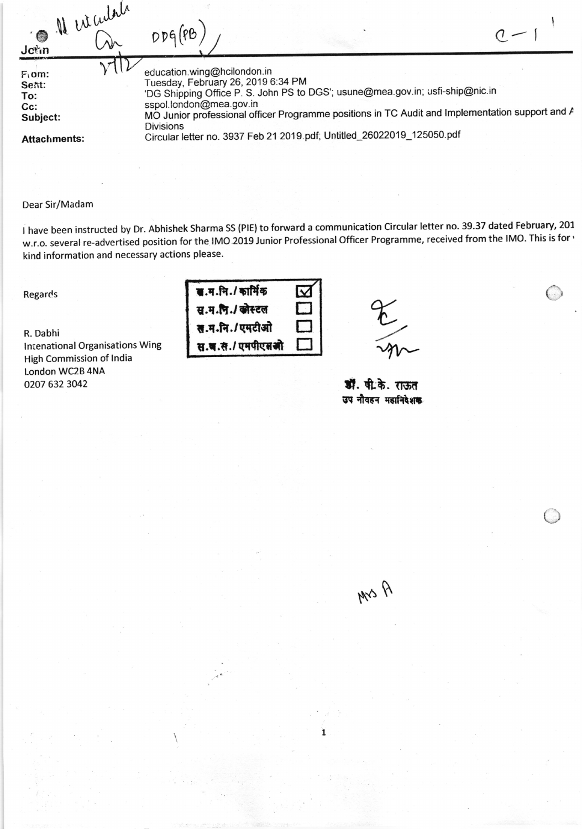| Il est cultile<br>John                              | $\mathcal{N}$ |                                                                                                                                                                                                                                                                                                      |
|-----------------------------------------------------|---------------|------------------------------------------------------------------------------------------------------------------------------------------------------------------------------------------------------------------------------------------------------------------------------------------------------|
| $F \circ m$ :<br>Sent:<br>To:<br>$Cc$ :<br>Subject: |               | education.wing@hcilondon.in<br>Tuesday, February 26, 2019 6:34 PM<br>'DG Shipping Office P. S. John PS to DGS'; usune@mea.gov.in; usfi-ship@nic.in<br>sspol.london@mea.gov.in<br>MO Junior professional officer Programme positions in TC Audit and Implementation support and A<br><b>Divisions</b> |
| <b>Attachments:</b>                                 |               | Circular letter no. 3937 Feb 21 2019 pdf; Untitled_26022019_125050.pdf                                                                                                                                                                                                                               |

## Dear Sir/Madam

<sup>I</sup>have been instructed by Dr. Abhishek Sharma SS (PlE) to forward a communication Circular letter no. 39.37 dated February,2O7 w.r.o. several re-advertised position for the IMO 2019 Junior Professional officer Programme, received from the lMo. This is for' kind information and necessary actions please.

Regards

R. Dabhi lntenational Organisations Wing High Commission of lndia l.ondon WC2B 4NA 0207 6323042

 $\overline{q}$ .म.नि./ कार्मिक स.म.पि./ खोस्टल स.म.नि./एमटीओ स.च.स./ एमपीएसओ  $\Box$  $\Box$  $\Box$ 

the m

 $\epsilon$ 

L,J

डॉ. पी.के. राऊत उप नौवहन महानिदेशक

 $\eta$   $\sim$   $\mu$ 

1